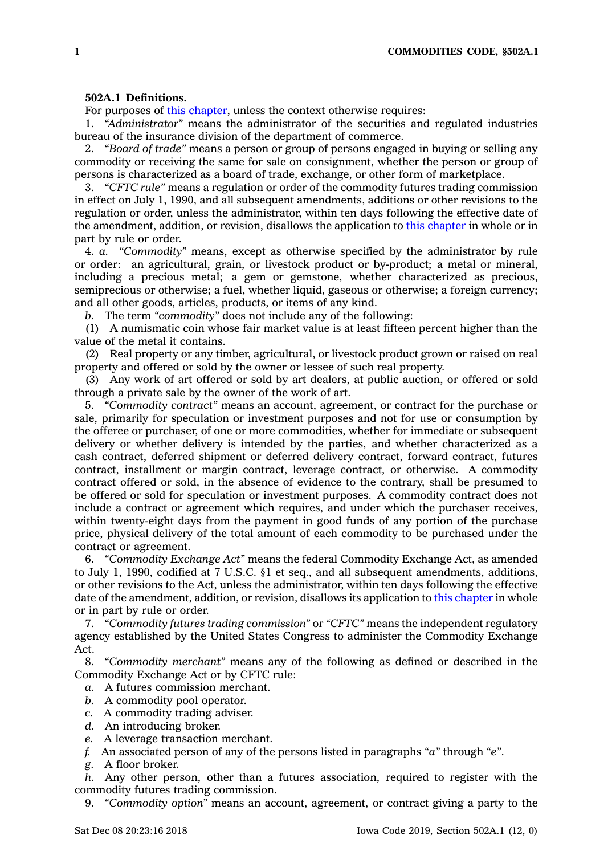## **502A.1 Definitions.**

For purposes of this [chapter](https://www.legis.iowa.gov/docs/code//502A.pdf), unless the context otherwise requires:

1. *"Administrator"* means the administrator of the securities and regulated industries bureau of the insurance division of the department of commerce.

2. *"Board of trade"* means <sup>a</sup> person or group of persons engaged in buying or selling any commodity or receiving the same for sale on consignment, whether the person or group of persons is characterized as <sup>a</sup> board of trade, exchange, or other form of marketplace.

3. *"CFTC rule"* means <sup>a</sup> regulation or order of the commodity futures trading commission in effect on July 1, 1990, and all subsequent amendments, additions or other revisions to the regulation or order, unless the administrator, within ten days following the effective date of the amendment, addition, or revision, disallows the application to this [chapter](https://www.legis.iowa.gov/docs/code//502A.pdf) in whole or in part by rule or order.

4. *a. "Commodity"* means, except as otherwise specified by the administrator by rule or order: an agricultural, grain, or livestock product or by-product; <sup>a</sup> metal or mineral, including <sup>a</sup> precious metal; <sup>a</sup> gem or gemstone, whether characterized as precious, semiprecious or otherwise; <sup>a</sup> fuel, whether liquid, gaseous or otherwise; <sup>a</sup> foreign currency; and all other goods, articles, products, or items of any kind.

*b.* The term *"commodity"* does not include any of the following:

(1) A numismatic coin whose fair market value is at least fifteen percent higher than the value of the metal it contains.

(2) Real property or any timber, agricultural, or livestock product grown or raised on real property and offered or sold by the owner or lessee of such real property.

(3) Any work of art offered or sold by art dealers, at public auction, or offered or sold through <sup>a</sup> private sale by the owner of the work of art.

5. *"Commodity contract"* means an account, agreement, or contract for the purchase or sale, primarily for speculation or investment purposes and not for use or consumption by the offeree or purchaser, of one or more commodities, whether for immediate or subsequent delivery or whether delivery is intended by the parties, and whether characterized as <sup>a</sup> cash contract, deferred shipment or deferred delivery contract, forward contract, futures contract, installment or margin contract, leverage contract, or otherwise. A commodity contract offered or sold, in the absence of evidence to the contrary, shall be presumed to be offered or sold for speculation or investment purposes. A commodity contract does not include <sup>a</sup> contract or agreement which requires, and under which the purchaser receives, within twenty-eight days from the payment in good funds of any portion of the purchase price, physical delivery of the total amount of each commodity to be purchased under the contract or agreement.

6. *"Commodity Exchange Act"* means the federal Commodity Exchange Act, as amended to July 1, 1990, codified at 7 U.S.C. §1 et seq., and all subsequent amendments, additions, or other revisions to the Act, unless the administrator, within ten days following the effective date of the amendment, addition, or revision, disallows its application to this [chapter](https://www.legis.iowa.gov/docs/code//502A.pdf) in whole or in part by rule or order.

7. *"Commodity futures trading commission"* or *"CFTC"* means the independent regulatory agency established by the United States Congress to administer the Commodity Exchange Act.

8. *"Commodity merchant"* means any of the following as defined or described in the Commodity Exchange Act or by CFTC rule:

- *a.* A futures commission merchant.
- *b.* A commodity pool operator.
- *c.* A commodity trading adviser.
- *d.* An introducing broker.
- *e.* A leverage transaction merchant.
- *f.* An associated person of any of the persons listed in paragraphs *"a"* through *"e"*.
- *g.* A floor broker.

*h.* Any other person, other than <sup>a</sup> futures association, required to register with the commodity futures trading commission.

9. *"Commodity option"* means an account, agreement, or contract giving <sup>a</sup> party to the